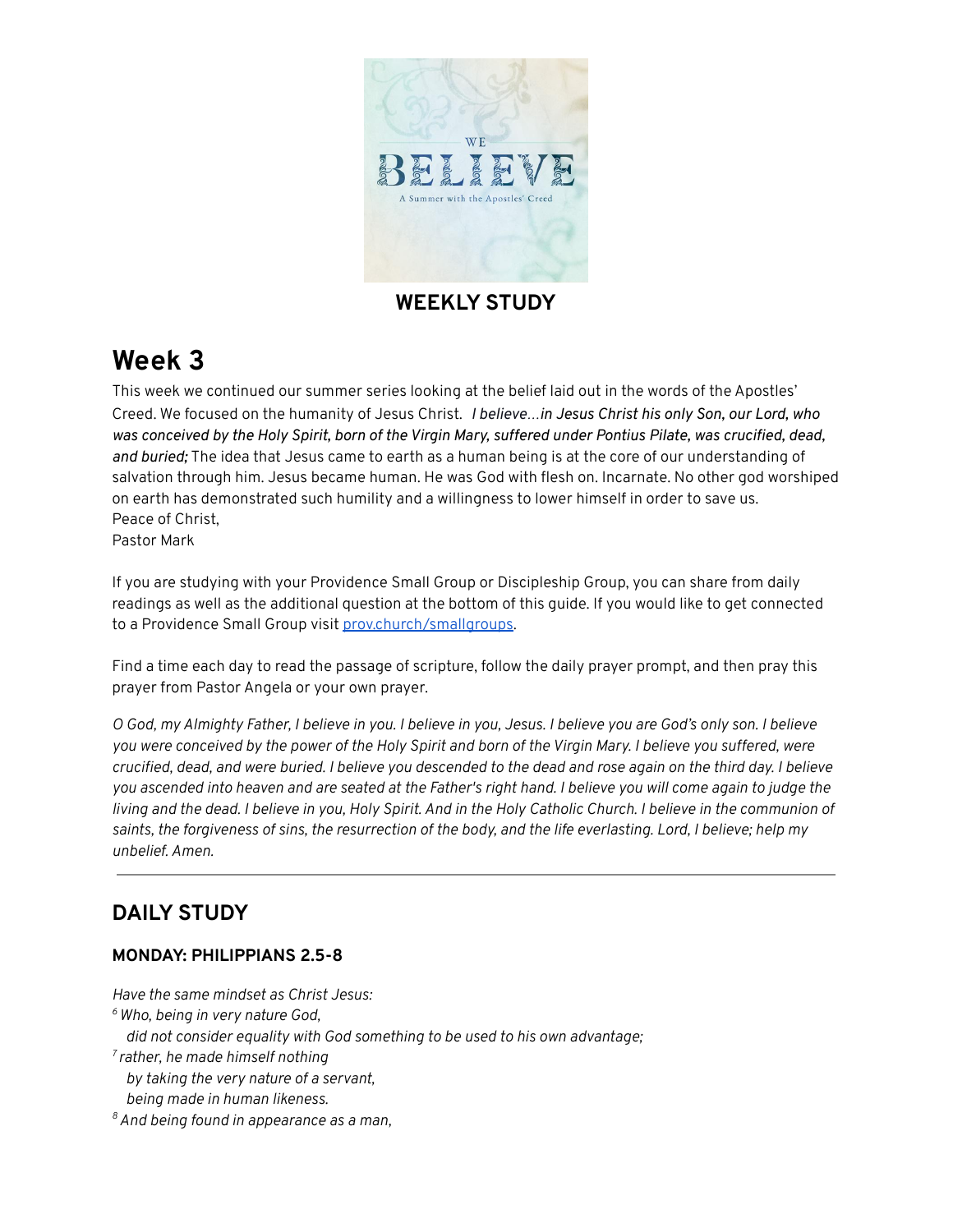

### **WEEKLY STUDY**

# **Week 3**

This week we continued our summer series looking at the belief laid out in the words of the Apostles' Creed. We focused on the humanity of Jesus Christ. *I believe…in Jesus Christ his only Son, our Lord, who* was conceived by the Holy Spirit, born of the Virgin Mary, suffered under Pontius Pilate, was crucified, dead, *and buried;* The idea that Jesus came to earth as a human being is at the core of our understanding of salvation through him. Jesus became human. He was God with flesh on. Incarnate. No other god worshiped on earth has demonstrated such humility and a willingness to lower himself in order to save us. Peace of Christ,

Pastor Mark

If you are studying with your Providence Small Group or Discipleship Group, you can share from daily readings as well as the additional question at the bottom of this guide. If you would like to get connected to a Providence Small Group visit [prov.church/smallgroups.](https://prov.church/ministries/adults/)

Find a time each day to read the passage of scripture, follow the daily prayer prompt, and then pray this prayer from Pastor Angela or your own prayer.

O God, my Almighty Father, I believe in you. I believe in you, Jesus. I believe you are God's only son. I believe you were conceived by the power of the Holy Spirit and born of the Virgin Mary. I believe you suffered, were crucified, dead, and were buried. I believe you descended to the dead and rose again on the third day. I believe you ascended into heaven and are seated at the Father's right hand. I believe you will come again to judge the living and the dead. I believe in you, Holy Spirit. And in the Holy Catholic Church. I believe in the communion of saints, the forgiveness of sins, the resurrection of the body, and the life everlasting. Lord, I believe; help my *unbelief. Amen.*

## **DAILY STUDY**

#### **MONDAY: PHILIPPIANS 2.5-8**

*Have the same mindset as Christ Jesus: <sup>6</sup> Who, being in very nature God, did not consider equality with God something to be used to his own advantage; 7 rather, he made himself nothing by taking the very nature of a servant, being made in human likeness.*

*<sup>8</sup>And being found in appearance as a man,*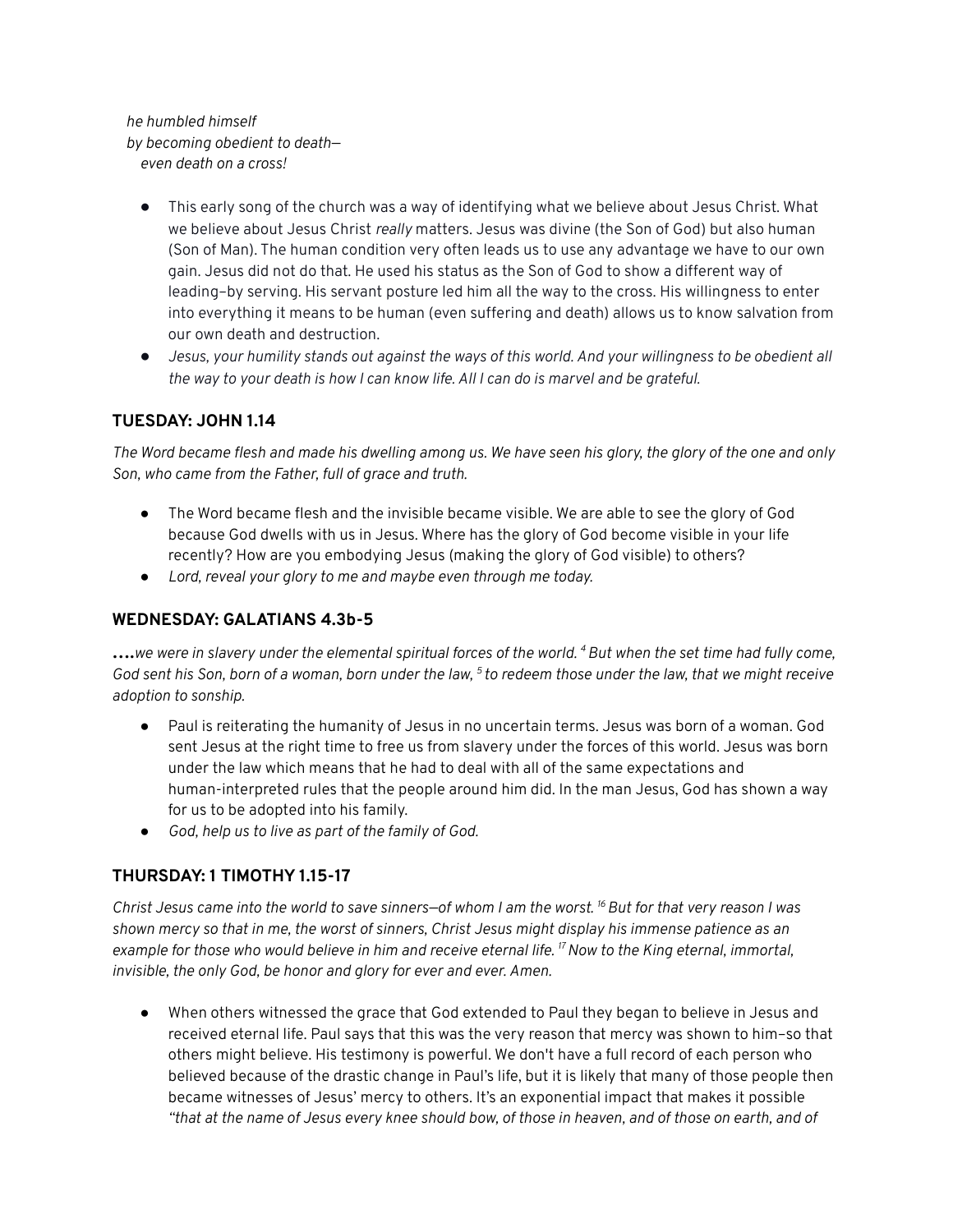*he humbled himself by becoming obedient to death even death on a cross!*

- This early song of the church was a way of identifying what we believe about Jesus Christ. What we believe about Jesus Christ *really* matters. Jesus was divine (the Son of God) but also human (Son of Man). The human condition very often leads us to use any advantage we have to our own gain. Jesus did not do that. He used his status as the Son of God to show a different way of leading–by serving. His servant posture led him all the way to the cross. His willingness to enter into everything it means to be human (even suffering and death) allows us to know salvation from our own death and destruction.
- Jesus, your humility stands out against the ways of this world. And your willingness to be obedient all the way to your death is how I can know life. All I can do is marvel and be grateful.

#### **TUESDAY: JOHN 1.14**

The Word became flesh and made his dwelling among us. We have seen his glory, the glory of the one and only *Son, who came from the Father, full of grace and truth.*

- The Word became flesh and the invisible became visible. We are able to see the glory of God because God dwells with us in Jesus. Where has the glory of God become visible in your life recently? How are you embodying Jesus (making the glory of God visible) to others?
- *● Lord, reveal your glory to me and maybe even through me today.*

#### **WEDNESDAY: GALATIANS 4.3b-5**

 $\ldots$ we were in slavery under the elemental spiritual forces of the world.  $^4$  But when the set time had fully come, God sent his Son, born of a woman, born under the law, <sup>5</sup> to redeem those under the law, that we might receive *adoption to sonship.*

- Paul is reiterating the humanity of Jesus in no uncertain terms. Jesus was born of a woman. God sent Jesus at the right time to free us from slavery under the forces of this world. Jesus was born under the law which means that he had to deal with all of the same expectations and human-interpreted rules that the people around him did. In the man Jesus, God has shown a way for us to be adopted into his family.
- *God, help us to live as part of the family of God.*

#### **THURSDAY: 1 TIMOTHY 1.15-17**

Christ Jesus came into the world to save sinners-of whom I am the worst. <sup>16</sup> But for that very reason I was shown mercy so that in me, the worst of sinners, Christ Jesus might display his immense patience as an example for those who would believe in him and receive eternal life. <sup>17</sup> Now to the King eternal, immortal, *invisible, the only God, be honor and glory for ever and ever. Amen.*

● When others witnessed the grace that God extended to Paul they began to believe in Jesus and received eternal life. Paul says that this was the very reason that mercy was shown to him–so that others might believe. His testimony is powerful. We don't have a full record of each person who believed because of the drastic change in Paul's life, but it is likely that many of those people then became witnesses of Jesus' mercy to others. It's an exponential impact that makes it possible "that at the name of Jesus every knee should bow, of those in heaven, and of those on earth, and of